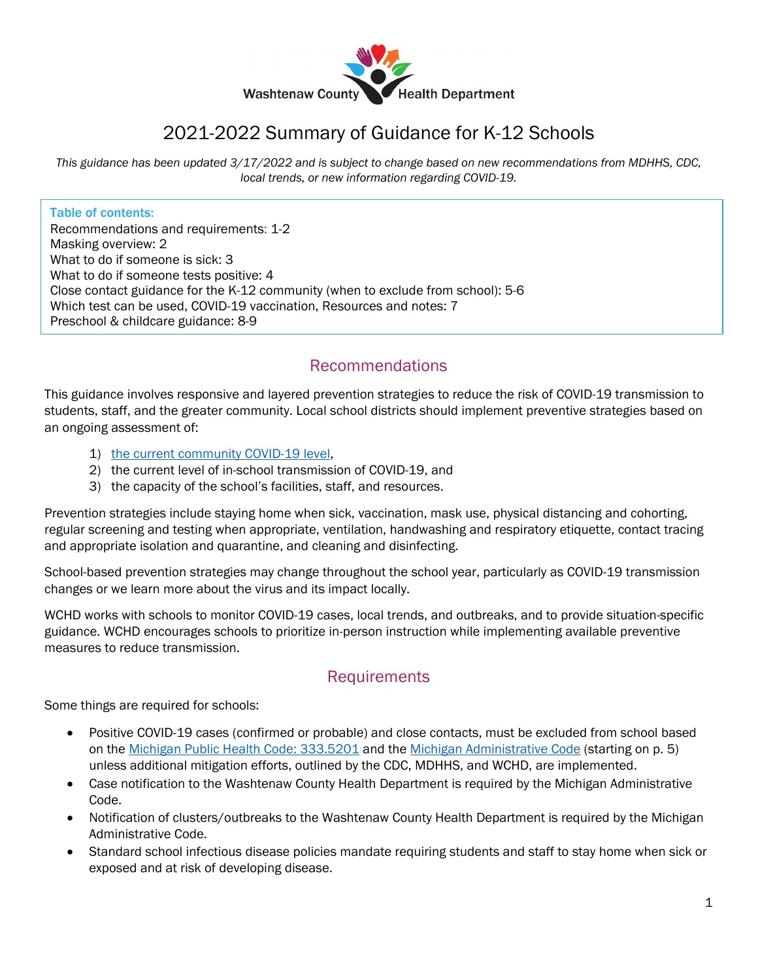

# 2021-2022 Summary of Guidance for K-12 Schools

*This guidance has been updated 3/17/2022 and is subject to change based on new recommendations from MDHHS, CDC, local trends, or new information regarding COVID-19.*

#### Table of contents:

Recommendations and requirements: 1-2 Masking overview: 2 What to do if someone is sick: 3 What to do if someone tests positive: 4 Close contact guidance for the K-12 community (when to exclude from school): 5-6 Which test can be used, COVID-19 vaccination, Resources and notes: 7 Preschool & childcare guidance: 8-9

### Recommendations

This guidance involves responsive and layered prevention strategies to reduce the risk of COVID-19 transmission to students, staff, and the greater community. Local school districts should implement preventive strategies based on an ongoing assessment of:

- 1) [the current community COVID-19 level,](https://www.cdc.gov/coronavirus/2019-ncov/your-health/covid-by-county.html)
- 2) the current level of in-school transmission of COVID-19, and
- 3) the capacity of the school's facilities, staff, and resources.

Prevention strategies include staying home when sick, vaccination, mask use, physical distancing and cohorting, regular screening and testing when appropriate, ventilation, handwashing and respiratory etiquette, contact tracing and appropriate isolation and quarantine, and cleaning and disinfecting.

School-based prevention strategies may change throughout the school year, particularly as COVID-19 transmission changes or we learn more about the virus and its impact locally.

WCHD works with schools to monitor COVID-19 cases, local trends, and outbreaks, and to provide situation-specific guidance. WCHD encourages schools to prioritize in-person instruction while implementing available preventive measures to reduce transmission.

### **Requirements**

Some things are required for schools:

- Positive COVID-19 cases (confirmed or probable) and close contacts, must be excluded from school based on the [Michigan Public Health Code: 333.5201](http://www.legislature.mi.gov/(S(pzkmloykr554pszqjkbbcvni))/mileg.aspx?page=getObject&objectName=mcl-368-1978-5-52) and the [Michigan Administrative Code](https://www.michigan.gov/documents/mdhhs/1472_2014-073CH_AdminCode_1_676105_7.pdf) (starting on p. 5) unless additional mitigation efforts, outlined by the CDC, MDHHS, and WCHD, are implemented.
- Case notification to the Washtenaw County Health Department is required by the Michigan Administrative Code.
- Notification of clusters/outbreaks to the Washtenaw County Health Department is required by the Michigan Administrative Code.
- Standard school infectious disease policies mandate requiring students and staff to stay home when sick or exposed and at risk of developing disease.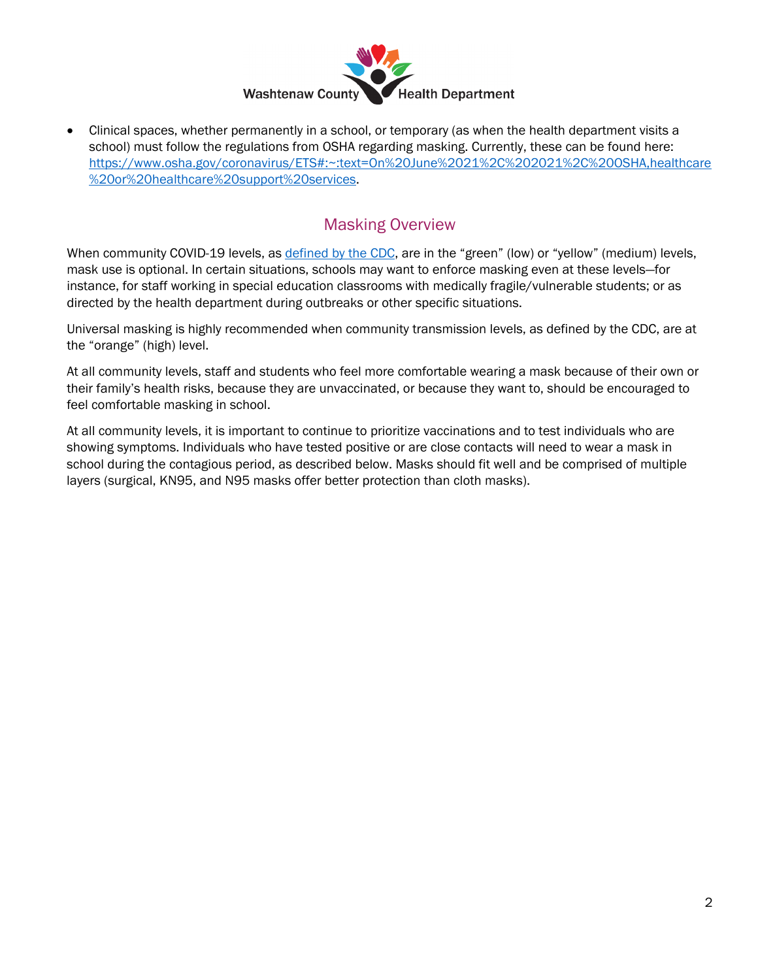

• Clinical spaces, whether permanently in a school, or temporary (as when the health department visits a school) must follow the regulations from OSHA regarding masking. Currently, these can be found here: [https://www.osha.gov/coronavirus/ETS#:~:text=On%20June%2021%2C%202021%2C%20OSHA,healthcare](https://www.osha.gov/coronavirus/ETS#:%7E:text=On%20June%2021%2C%202021%2C%20OSHA,healthcare%20or%20healthcare%20support%20services) [%20or%20healthcare%20support%20services.](https://www.osha.gov/coronavirus/ETS#:%7E:text=On%20June%2021%2C%202021%2C%20OSHA,healthcare%20or%20healthcare%20support%20services)

## Masking Overview

When community COVID-19 levels, as [defined by the CDC,](https://www.cdc.gov/coronavirus/2019-ncov/your-health/covid-by-county.html) are in the "green" (low) or "yellow" (medium) levels, mask use is optional. In certain situations, schools may want to enforce masking even at these levels—for instance, for staff working in special education classrooms with medically fragile/vulnerable students; or as directed by the health department during outbreaks or other specific situations.

Universal masking is highly recommended when community transmission levels, as defined by the CDC, are at the "orange" (high) level.

At all community levels, staff and students who feel more comfortable wearing a mask because of their own or their family's health risks, because they are unvaccinated, or because they want to, should be encouraged to feel comfortable masking in school.

At all community levels, it is important to continue to prioritize vaccinations and to test individuals who are showing symptoms. Individuals who have tested positive or are close contacts will need to wear a mask in school during the contagious period, as described below. Masks should fit well and be comprised of multiple layers (surgical, KN95, and N95 masks offer better protection than cloth masks).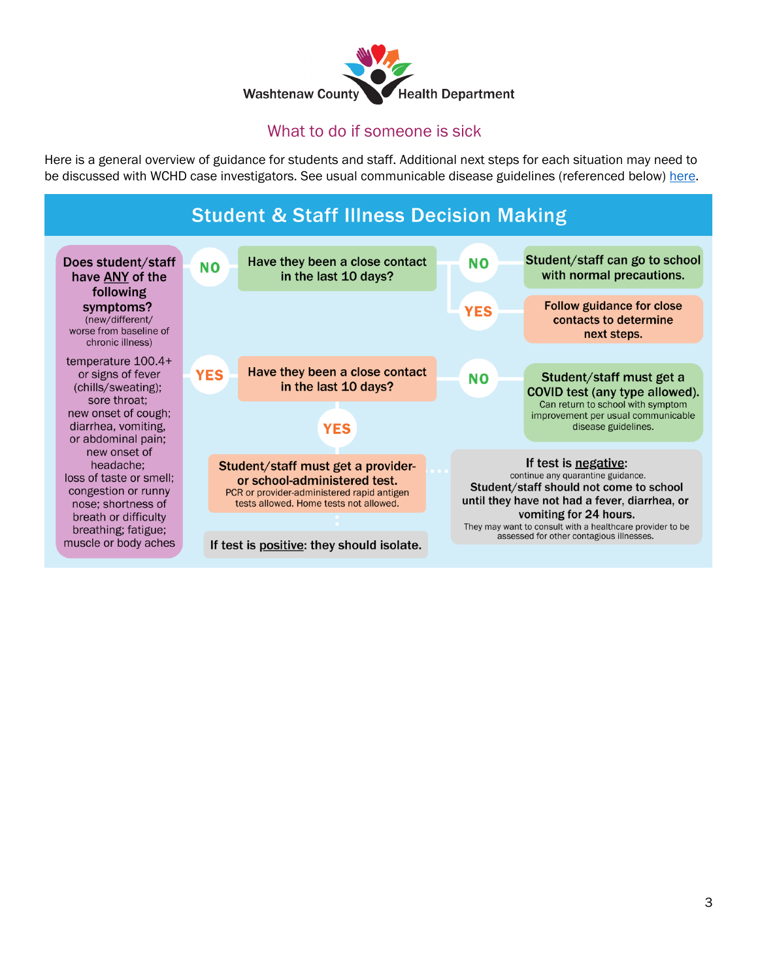

# What to do if someone is sick

Here is a general overview of guidance for students and staff. Additional next steps for each situation may need to be discussed with WCHD case investigators. See usual communicable disease guidelines (referenced below) [here.](http://bit.ly/wchdsick)

# **Student & Staff Illness Decision Making**

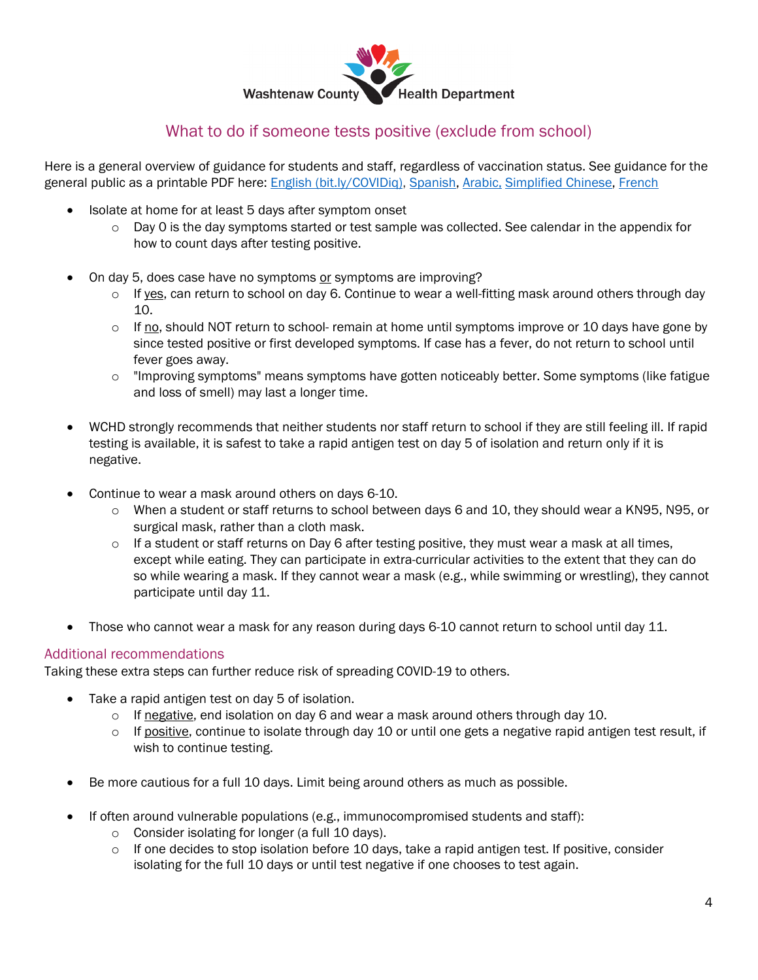

### What to do if someone tests positive (exclude from school)

Here is a general overview of guidance for students and staff, regardless of vaccination status. See guidance for the general public as a printable PDF here: [English \(bit.ly/COVIDiq\),](http://bit.ly/COVIDiq) [Spanish,](http://bit.ly/COVIDiqSPN) [Arabic,](http://bit.ly/COVIDiqAR) [Simplified Chinese,](https://www.washtenaw.org/DocumentCenter/View/24104/If-you-test-positive-for-COVID-or-are-exposed-Simplified-Chinese-January-2022?bidId=) [French](https://www.washtenaw.org/DocumentCenter/View/24103/If-you-test-positive-for-COVID-or-are-exposed-French-January-2022?bidId=)

- Isolate at home for at least 5 days after symptom onset
	- $\circ$  Day 0 is the day symptoms started or test sample was collected. See calendar in the appendix for how to count days after testing positive.
- On day 5, does case have no symptoms or symptoms are improving?
	- $\circ$  If yes, can return to school on day 6. Continue to wear a well-fitting mask around others through day 10.
	- $\circ$  If no, should NOT return to school- remain at home until symptoms improve or 10 days have gone by since tested positive or first developed symptoms. If case has a fever, do not return to school until fever goes away.
	- o "Improving symptoms" means symptoms have gotten noticeably better. Some symptoms (like fatigue and loss of smell) may last a longer time.
- WCHD strongly recommends that neither students nor staff return to school if they are still feeling ill. If rapid testing is available, it is safest to take a rapid antigen test on day 5 of isolation and return only if it is negative.
- Continue to wear a mask around others on days 6-10.
	- o When a student or staff returns to school between days 6 and 10, they should wear a KN95, N95, or surgical mask, rather than a cloth mask.
	- $\circ$  If a student or staff returns on Day 6 after testing positive, they must wear a mask at all times, except while eating. They can participate in extra-curricular activities to the extent that they can do so while wearing a mask. If they cannot wear a mask (e.g., while swimming or wrestling), they cannot participate until day 11.
- Those who cannot wear a mask for any reason during days 6-10 cannot return to school until day 11.

#### Additional recommendations

Taking these extra steps can further reduce risk of spreading COVID-19 to others.

- Take a rapid antigen test on day 5 of isolation.
	- $\circ$  If negative, end isolation on day 6 and wear a mask around others through day 10.
	- $\circ$  If positive, continue to isolate through day 10 or until one gets a negative rapid antigen test result, if wish to continue testing.
- Be more cautious for a full 10 days. Limit being around others as much as possible.
- If often around vulnerable populations (e.g., immunocompromised students and staff):
	- o Consider isolating for longer (a full 10 days).
	- $\circ$  If one decides to stop isolation before 10 days, take a rapid antigen test. If positive, consider isolating for the full 10 days or until test negative if one chooses to test again.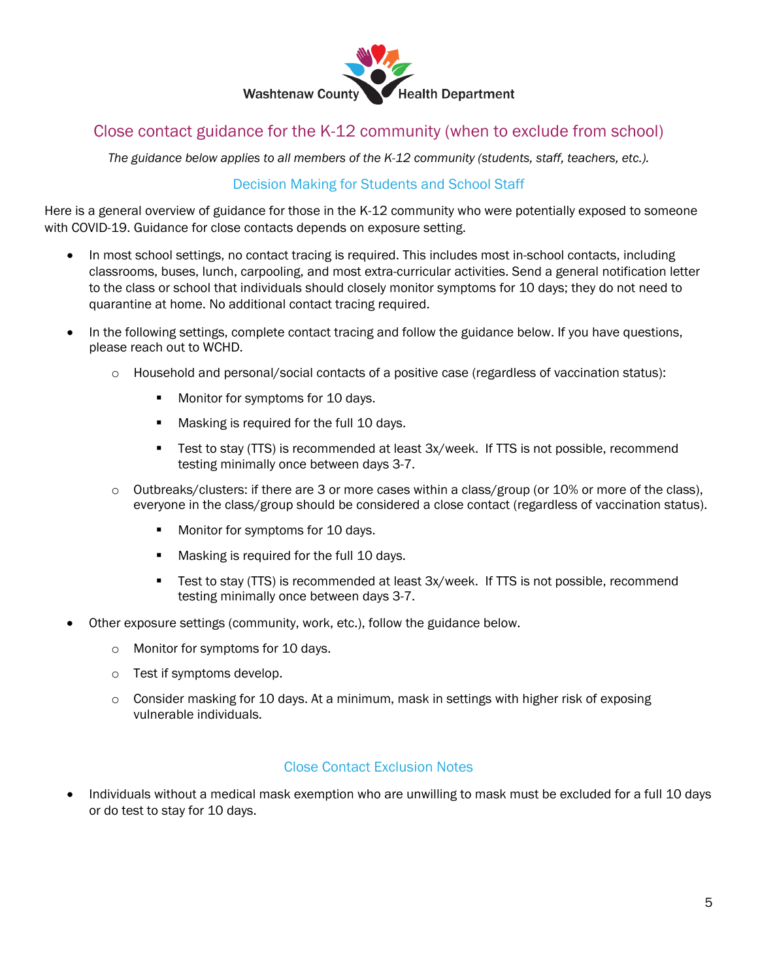

## Close contact guidance for the K-12 community (when to exclude from school)

*The guidance below applies to all members of the K-12 community (students, staff, teachers, etc.).*

### Decision Making for Students and School Staff

Here is a general overview of guidance for those in the K-12 community who were potentially exposed to someone with COVID-19. Guidance for close contacts depends on exposure setting.

- In most school settings, no contact tracing is required. This includes most in-school contacts, including classrooms, buses, lunch, carpooling, and most extra-curricular activities. Send a general notification letter to the class or school that individuals should closely monitor symptoms for 10 days; they do not need to quarantine at home. No additional contact tracing required.
- In the following settings, complete contact tracing and follow the guidance below. If you have questions, please reach out to WCHD.
	- o Household and personal/social contacts of a positive case (regardless of vaccination status):
		- **Monitor for symptoms for 10 days.**
		- **Masking is required for the full 10 days.**
		- Test to stay (TTS) is recommended at least 3x/week. If TTS is not possible, recommend testing minimally once between days 3-7.
	- $\circ$  Outbreaks/clusters: if there are 3 or more cases within a class/group (or 10% or more of the class), everyone in the class/group should be considered a close contact (regardless of vaccination status).
		- **Monitor for symptoms for 10 days.**
		- **Masking is required for the full 10 days.**
		- Test to stay (TTS) is recommended at least 3x/week. If TTS is not possible, recommend testing minimally once between days 3-7.
- Other exposure settings (community, work, etc.), follow the guidance below.
	- o Monitor for symptoms for 10 days.
	- o Test if symptoms develop.
	- $\circ$  Consider masking for 10 days. At a minimum, mask in settings with higher risk of exposing vulnerable individuals.

#### Close Contact Exclusion Notes

• Individuals without a medical mask exemption who are unwilling to mask must be excluded for a full 10 days or do test to stay for 10 days.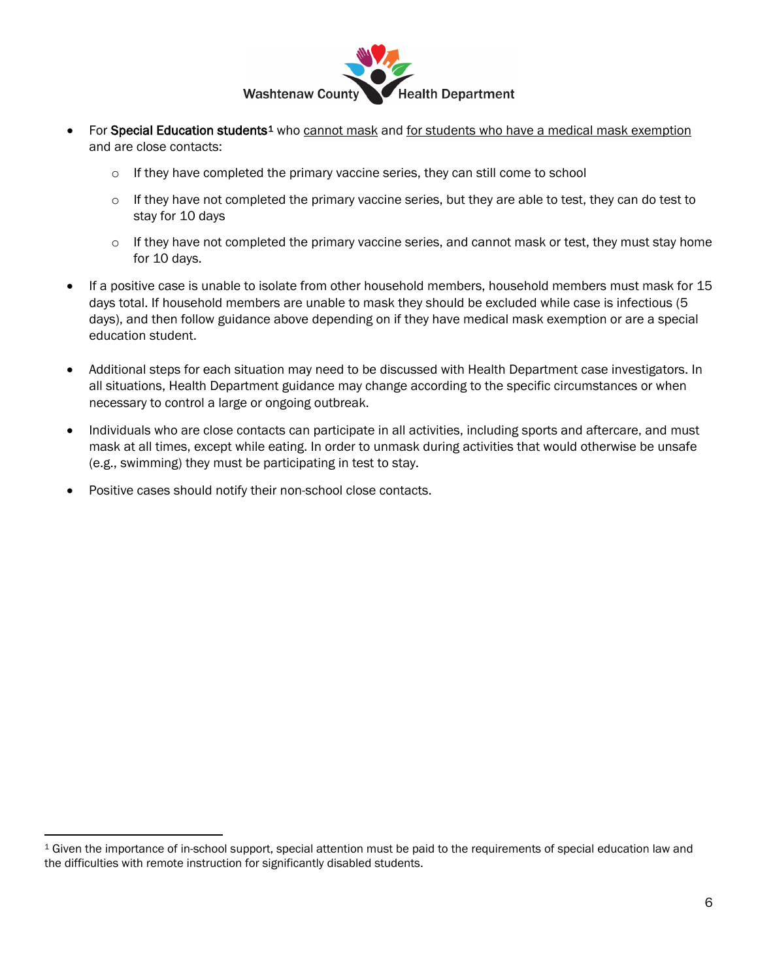

- For Special Education students<sup>1</sup> who cannot mask and for students who have a medical mask exemption and are close contacts:
	- $\circ$  If they have completed the primary vaccine series, they can still come to school
	- $\circ$  If they have not completed the primary vaccine series, but they are able to test, they can do test to stay for 10 days
	- $\circ$  If they have not completed the primary vaccine series, and cannot mask or test, they must stay home for 10 days.
- If a positive case is unable to isolate from other household members, household members must mask for 15 days total. If household members are unable to mask they should be excluded while case is infectious (5 days), and then follow guidance above depending on if they have medical mask exemption or are a special education student.
- Additional steps for each situation may need to be discussed with Health Department case investigators. In all situations, Health Department guidance may change according to the specific circumstances or when necessary to control a large or ongoing outbreak.
- Individuals who are close contacts can participate in all activities, including sports and aftercare, and must mask at all times, except while eating. In order to unmask during activities that would otherwise be unsafe (e.g., swimming) they must be participating in test to stay.
- Positive cases should notify their non-school close contacts.

<span id="page-5-0"></span><sup>1</sup> Given the importance of in-school support, special attention must be paid to the requirements of special education law and the difficulties with remote instruction for significantly disabled students.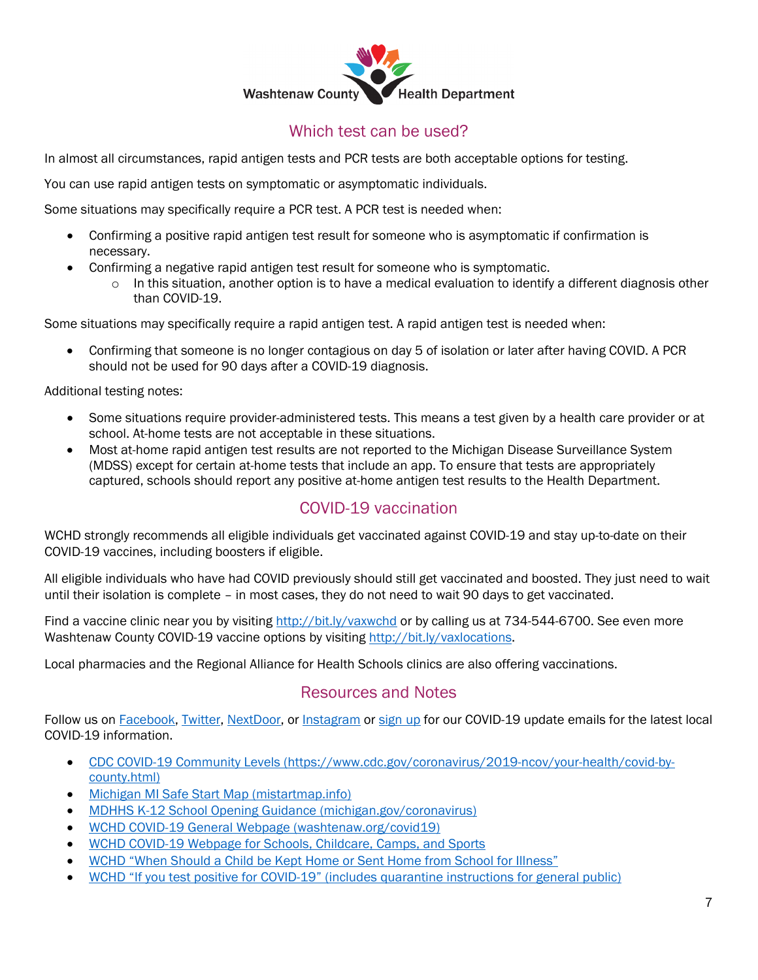

## Which test can be used?

In almost all circumstances, rapid antigen tests and PCR tests are both acceptable options for testing.

You can use rapid antigen tests on symptomatic or asymptomatic individuals.

Some situations may specifically require a PCR test. A PCR test is needed when:

- Confirming a positive rapid antigen test result for someone who is asymptomatic if confirmation is necessary.
- Confirming a negative rapid antigen test result for someone who is symptomatic.
	- $\circ$  In this situation, another option is to have a medical evaluation to identify a different diagnosis other than COVID-19.

Some situations may specifically require a rapid antigen test. A rapid antigen test is needed when:

• Confirming that someone is no longer contagious on day 5 of isolation or later after having COVID. A PCR should not be used for 90 days after a COVID-19 diagnosis.

Additional testing notes:

- Some situations require provider-administered tests. This means a test given by a health care provider or at school. At-home tests are not acceptable in these situations.
- Most at-home rapid antigen test results are not reported to the Michigan Disease Surveillance System (MDSS) except for certain at-home tests that include an app. To ensure that tests are appropriately captured, schools should report any positive at-home antigen test results to the Health Department.

### COVID-19 vaccination

WCHD strongly recommends all eligible individuals get vaccinated against COVID-19 and stay up-to-date on their COVID-19 vaccines, including boosters if eligible.

All eligible individuals who have had COVID previously should still get vaccinated and boosted. They just need to wait until their isolation is complete – in most cases, they do not need to wait 90 days to get vaccinated.

Find a vaccine clinic near you by visiting<http://bit.ly/vaxwchd> or by calling us at 734-544-6700. See even more Washtenaw County COVID-19 vaccine options by visiting [http://bit.ly/vaxlocations.](http://bit.ly/vaxlocations)

Local pharmacies and the Regional Alliance for Health Schools clinics are also offering vaccinations.

### Resources and Notes

Follow us on **Facebook, [Twitter,](https://twitter.com/wcpublichealth) [NextDoor,](https://nextdoor.com/pages/washtenaw-county-4?init_source=copy_link_share) or [Instagram](https://www.instagram.com/wcpublichealth/)** or [sign up](https://washtenaw.us7.list-manage.com/subscribe?u=90777b70138d575b268e84956&id=6a0453826f) for our COVID-19 update emails for the latest local COVID-19 information.

- [CDC COVID-19 Community Levels \(https://www.cdc.gov/coronavirus/2019-ncov/your-health/covid-by](https://www.cdc.gov/coronavirus/2019-ncov/your-health/covid-by-county.html)[county.html\)](https://www.cdc.gov/coronavirus/2019-ncov/your-health/covid-by-county.html)
- [Michigan MI Safe Start Map](https://www.mistartmap.info/) (mistartmap.info)
- [MDHHS K-12 School Opening Guidance](https://www.michigan.gov/coronavirus/0,9753,7-406-98178_104699---,00.html) (michigan.gov/coronavirus)
- [WCHD COVID-19 General Webpage](https://www.washtenaw.org/3095/COVID-19) (washtenaw.org/covid19)
- [WCHD COVID-19 Webpage for Schools, Childcare, Camps, and Sports](https://www.washtenaw.org/3103/Schools-Childcare-Camps-Sports)
- [WCHD "When Should a Child be Kept Home or Sent Home from School for Illness"](http://bit.ly/wchdsick)
- [WCHD "If you test positive for COVID-19" \(includes quarantine instructions for general public\)](https://www.washtenaw.org/DocumentCenter/View/18539/Isolation-and-Quarantine-Guidance?bidId=)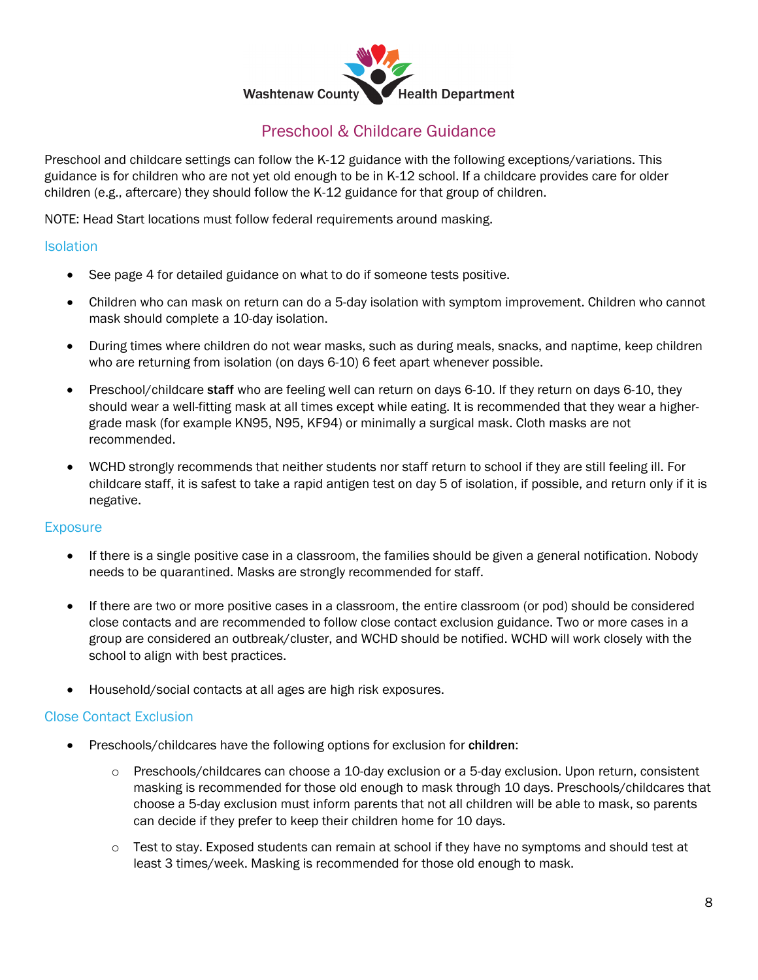

## Preschool & Childcare Guidance

Preschool and childcare settings can follow the K-12 guidance with the following exceptions/variations. This guidance is for children who are not yet old enough to be in K-12 school. If a childcare provides care for older children (e.g., aftercare) they should follow the K-12 guidance for that group of children.

NOTE: Head Start locations must follow federal requirements around masking.

#### **Isolation**

- See page 4 for detailed guidance on what to do if someone tests positive.
- Children who can mask on return can do a 5-day isolation with symptom improvement. Children who cannot mask should complete a 10-day isolation.
- During times where children do not wear masks, such as during meals, snacks, and naptime, keep children who are returning from isolation (on days 6-10) 6 feet apart whenever possible.
- Preschool/childcare staff who are feeling well can return on days 6-10. If they return on days 6-10, they should wear a well-fitting mask at all times except while eating. It is recommended that they wear a highergrade mask (for example KN95, N95, KF94) or minimally a surgical mask. Cloth masks are not recommended.
- WCHD strongly recommends that neither students nor staff return to school if they are still feeling ill. For childcare staff, it is safest to take a rapid antigen test on day 5 of isolation, if possible, and return only if it is negative.

#### **Exposure**

- If there is a single positive case in a classroom, the families should be given a general notification. Nobody needs to be quarantined. Masks are strongly recommended for staff.
- If there are two or more positive cases in a classroom, the entire classroom (or pod) should be considered close contacts and are recommended to follow close contact exclusion guidance. Two or more cases in a group are considered an outbreak/cluster, and WCHD should be notified. WCHD will work closely with the school to align with best practices.
- Household/social contacts at all ages are high risk exposures.

#### Close Contact Exclusion

- Preschools/childcares have the following options for exclusion for children:
	- o Preschools/childcares can choose a 10-day exclusion or a 5-day exclusion. Upon return, consistent masking is recommended for those old enough to mask through 10 days. Preschools/childcares that choose a 5-day exclusion must inform parents that not all children will be able to mask, so parents can decide if they prefer to keep their children home for 10 days.
	- $\circ$  Test to stay. Exposed students can remain at school if they have no symptoms and should test at least 3 times/week. Masking is recommended for those old enough to mask.